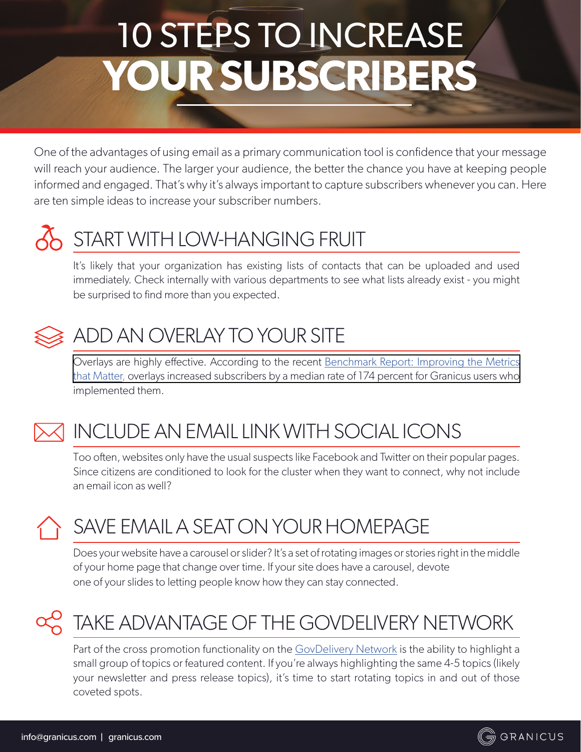# 10 STEPS TO INCREASE **YOUR SUBSCRIBERS**

One of the advantages of using email as a primary communication tool is confidence that your message will reach your audience. The larger your audience, the better the chance you have at keeping people informed and engaged. That's why it's always important to capture subscribers whenever you can. Here are ten simple ideas to increase your subscriber numbers.

### START WITH LOW-HANGING FRUIT

It's likely that your organization has existing lists of contacts that can be uploaded and used immediately. Check internally with various departments to see what lists already exist - you might be surprised to find more than you expected.



#### ADD AN OVERLAY TO YOUR SITE

Overlays are highly effective. According to the recent Benchmark Report: Improving the Metrics [that Matte](https://govdelivery.com/resources/govdelivery-benchmark-report-improving-metrics-matter/)[r, overlays increased subscribers by a median rate of 174 percent for Granicus users who](https://granicus.com/wp-content/uploads/application/pdf/guide_2016_benchmark_report.pdf)  implemented them.



### INCLUDE AN EMAIL LINK WITH SOCIAL ICONS

Too often, websites only have the usual suspects like Facebook and Twitter on their popular pages. Since citizens are conditioned to look for the cluster when they want to connect, why not include an email icon as well?

# SAVE EMAIL A SEAT ON YOUR HOMEPAGE

Does your website have a carousel or slider? It's a set of rotating images or stories right in the middle of your home page that change over time. If your site does have a carousel, devote one of your slides to letting people know how they can stay connected.

# TAKE ADVANTAGE OF THE GOVDELIVERY NETWORK

Part of the cross promotion functionality on the [GovDelivery Network](http://www.granicus.com/solutions/govdelivery-communications-suite/) is the ability to highlight a small group of topics or featured content. If you're always highlighting the same 4-5 topics (likely your newsletter and press release topics), it's time to start rotating topics in and out of those coveted spots.